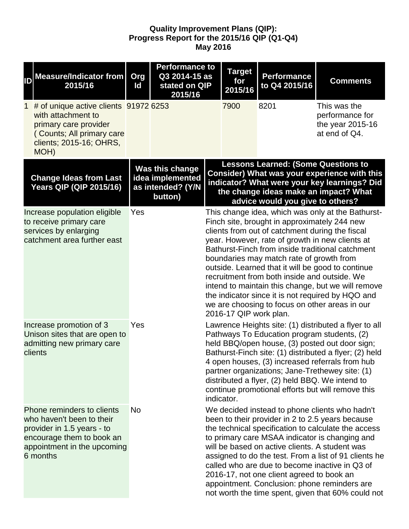## **Quality Improvement Plans (QIP): Progress Report for the 2015/16 QIP (Q1-Q4) May 2016**

| ID | <b>Measure/Indicator from</b><br>2015/16                                                                                                                      | Org<br>Id | <b>Performance to</b><br>Q3 2014-15 as<br>stated on QIP<br>2015/16  | <b>Target</b><br>for<br>2015/16 |                        | <b>Performance</b><br>to Q4 2015/16                                                                                                                                                                                                                                                              | <b>Comments</b>                                                                                                                                                                                                                                                                                                            |
|----|---------------------------------------------------------------------------------------------------------------------------------------------------------------|-----------|---------------------------------------------------------------------|---------------------------------|------------------------|--------------------------------------------------------------------------------------------------------------------------------------------------------------------------------------------------------------------------------------------------------------------------------------------------|----------------------------------------------------------------------------------------------------------------------------------------------------------------------------------------------------------------------------------------------------------------------------------------------------------------------------|
| 1  | # of unique active clients 91972 6253<br>with attachment to<br>primary care provider<br>(Counts; All primary care<br>clients; 2015-16; OHRS,<br>MOH)          |           |                                                                     |                                 | 7900                   | 8201                                                                                                                                                                                                                                                                                             | This was the<br>performance for<br>the year 2015-16<br>at end of Q4.                                                                                                                                                                                                                                                       |
|    | <b>Change Ideas from Last</b><br>Years QIP (QIP 2015/16)                                                                                                      |           | Was this change<br>idea implemented<br>as intended? (Y/N<br>button) |                                 |                        | <b>Lessons Learned: (Some Questions to</b><br>advice would you give to others?                                                                                                                                                                                                                   | Consider) What was your experience with this<br>indicator? What were your key learnings? Did<br>the change ideas make an impact? What                                                                                                                                                                                      |
|    | Increase population eligible<br>to receive primary care<br>services by enlarging<br>catchment area further east                                               | Yes       |                                                                     |                                 | 2016-17 QIP work plan. | Finch site, brought in approximately 244 new<br>clients from out of catchment during the fiscal<br>year. However, rate of growth in new clients at<br>boundaries may match rate of growth from<br>recruitment from both inside and outside. We<br>we are choosing to focus on other areas in our | This change idea, which was only at the Bathurst-<br>Bathurst-Finch from inside traditional catchment<br>outside. Learned that it will be good to continue<br>intend to maintain this change, but we will remove<br>the indicator since it is not required by HQO and                                                      |
|    | Increase promotion of 3<br>Unison sites that are open to<br>admitting new primary care<br>clients                                                             | Yes       |                                                                     |                                 | indicator.             | Pathways To Education program students, (2)<br>partner organizations; Jane-Trethewey site: (1)<br>distributed a flyer, (2) held BBQ. We intend to                                                                                                                                                | Lawrence Heights site: (1) distributed a flyer to all<br>held BBQ/open house, (3) posted out door sign;<br>Bathurst-Finch site: (1) distributed a flyer; (2) held<br>4 open houses, (3) increased referrals from hub<br>continue promotional efforts but will remove this                                                  |
|    | Phone reminders to clients<br>who haven't been to their<br>provider in 1.5 years - to<br>encourage them to book an<br>appointment in the upcoming<br>6 months | <b>No</b> |                                                                     |                                 |                        | will be based on active clients. A student was<br>called who are due to become inactive in Q3 of<br>2016-17, not one client agreed to book an<br>appointment. Conclusion: phone reminders are                                                                                                    | We decided instead to phone clients who hadn't<br>been to their provider in 2 to 2.5 years because<br>the technical specification to calculate the access<br>to primary care MSAA indicator is changing and<br>assigned to do the test. From a list of 91 clients he<br>not worth the time spent, given that 60% could not |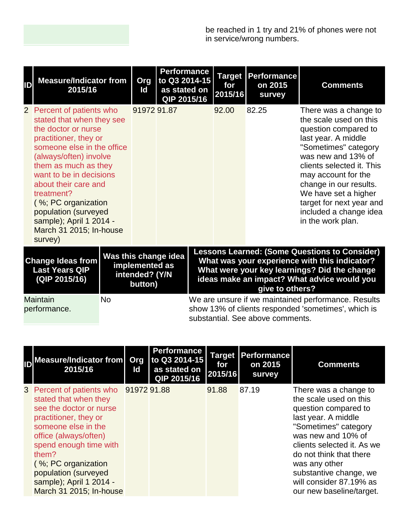| ID                                                                 | <b>Measure/Indicator from</b><br>2015/16                                                                                                                                                                                                                                                                                                                                |  | Org<br>ld                                   | <b>Performance</b><br>to Q3 2014-15<br>as stated on<br>QIP 2015/16 |  | for<br>2015/16 | <b>Target Performance</b><br>on 2015<br>survey | <b>Comments</b>                                                                                                                                                                                                                                                                                                               |
|--------------------------------------------------------------------|-------------------------------------------------------------------------------------------------------------------------------------------------------------------------------------------------------------------------------------------------------------------------------------------------------------------------------------------------------------------------|--|---------------------------------------------|--------------------------------------------------------------------|--|----------------|------------------------------------------------|-------------------------------------------------------------------------------------------------------------------------------------------------------------------------------------------------------------------------------------------------------------------------------------------------------------------------------|
|                                                                    | 2 Percent of patients who<br>stated that when they see<br>the doctor or nurse<br>practitioner, they or<br>someone else in the office<br>(always/often) involve<br>them as much as they<br>want to be in decisions<br>about their care and<br>treatment?<br>(%; PC organization<br>population (surveyed<br>sample); April 1 2014 -<br>March 31 2015; In-house<br>survey) |  | 91972 91.87                                 |                                                                    |  | 92.00          | 82.25                                          | There was a change to<br>the scale used on this<br>question compared to<br>last year. A middle<br>"Sometimes" category<br>was new and 13% of<br>clients selected it. This<br>may account for the<br>change in our results.<br>We have set a higher<br>target for next year and<br>included a change idea<br>in the work plan. |
| <b>Change Ideas from</b><br><b>Last Years QIP</b><br>(QIP 2015/16) |                                                                                                                                                                                                                                                                                                                                                                         |  | implemented as<br>intended? (Y/N<br>button) | Was this change idea                                               |  |                | give to others?                                | <b>Lessons Learned: (Some Questions to Consider)</b><br>What was your experience with this indicator?<br>What were your key learnings? Did the change<br>ideas make an impact? What advice would you                                                                                                                          |
|                                                                    | <b>Maintain</b><br><b>No</b><br>We are unsure if we maintained performance. Results<br>show 13% of clients responded 'sometimes', which is<br>performance.<br>substantial. See above comments.                                                                                                                                                                          |  |                                             |                                                                    |  |                |                                                |                                                                                                                                                                                                                                                                                                                               |

| <b>Measure/Indicator from</b><br>2015/16                                                                                                                                                                                                                                                                   | <b>Org</b><br>ld | <b>Performance</b><br>to Q3 2014-15<br>as stated on<br>QIP 2015/16 | <b>Target</b><br>for<br>2015/16 | Performance<br>on 2015<br>survey | <b>Comments</b>                                                                                                                                                                                                                                                                                         |
|------------------------------------------------------------------------------------------------------------------------------------------------------------------------------------------------------------------------------------------------------------------------------------------------------------|------------------|--------------------------------------------------------------------|---------------------------------|----------------------------------|---------------------------------------------------------------------------------------------------------------------------------------------------------------------------------------------------------------------------------------------------------------------------------------------------------|
| 3 Percent of patients who 91972 91.88<br>stated that when they<br>see the doctor or nurse<br>practitioner, they or<br>someone else in the<br>office (always/often)<br>spend enough time with<br>them?<br>(%; PC organization<br>population (surveyed<br>sample); April 1 2014 -<br>March 31 2015; In-house |                  |                                                                    | 91.88                           | 87.19                            | There was a change to<br>the scale used on this<br>question compared to<br>last year. A middle<br>"Sometimes" category<br>was new and 10% of<br>clients selected it. As we<br>do not think that there<br>was any other<br>substantive change, we<br>will consider 87.19% as<br>our new baseline/target. |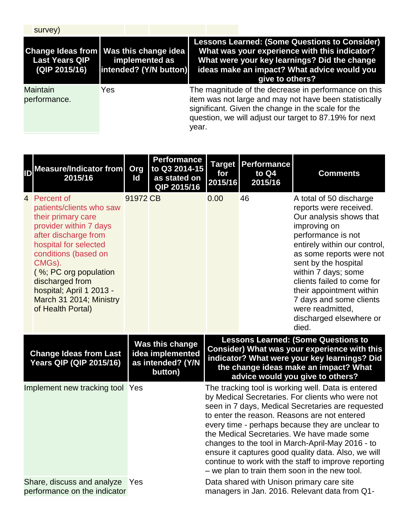| survey)                                                                            |                                          |       |                                                                                                                                                                                                                                |
|------------------------------------------------------------------------------------|------------------------------------------|-------|--------------------------------------------------------------------------------------------------------------------------------------------------------------------------------------------------------------------------------|
| Change Ideas from   Was this change idea<br><b>Last Years QIP</b><br>(QIP 2015/16) | implemented as<br>intended? (Y/N button) |       | <b>Lessons Learned: (Some Questions to Consider)</b><br>What was your experience with this indicator?<br>What were your key learnings? Did the change<br>ideas make an impact? What advice would you<br>give to others?        |
| <b>Maintain</b><br>performance.                                                    | Yes                                      | year. | The magnitude of the decrease in performance on this<br>item was not large and may not have been statistically<br>significant. Given the change in the scale for the<br>question, we will adjust our target to 87.19% for next |

|                                 | <b>ID</b> Measure/Indicator from<br>2015/16                                                                                                                                                                                                                                                         | Org<br>ld | <b>Performance</b><br>to Q3 2014-15<br>as stated on<br>QIP 2015/16  | <b>Target</b><br>for<br>2015/16                                                                                                                                                                                                                                                                                                                                                                                                                                                                                                   | <b>Performance</b><br>to Q4<br>2015/16 | <b>Comments</b>                                                                                                                                                                                                                                                                                                                                                            |  |  |
|---------------------------------|-----------------------------------------------------------------------------------------------------------------------------------------------------------------------------------------------------------------------------------------------------------------------------------------------------|-----------|---------------------------------------------------------------------|-----------------------------------------------------------------------------------------------------------------------------------------------------------------------------------------------------------------------------------------------------------------------------------------------------------------------------------------------------------------------------------------------------------------------------------------------------------------------------------------------------------------------------------|----------------------------------------|----------------------------------------------------------------------------------------------------------------------------------------------------------------------------------------------------------------------------------------------------------------------------------------------------------------------------------------------------------------------------|--|--|
|                                 | 4 Percent of<br>patients/clients who saw<br>their primary care<br>provider within 7 days<br>after discharge from<br>hospital for selected<br>conditions (based on<br>CMGs).<br>(%; PC org population<br>discharged from<br>hospital; April 1 2013 -<br>March 31 2014; Ministry<br>of Health Portal) | 91972 CB  |                                                                     | 0.00                                                                                                                                                                                                                                                                                                                                                                                                                                                                                                                              | 46                                     | A total of 50 discharge<br>reports were received.<br>Our analysis shows that<br>improving on<br>performance is not<br>entirely within our control,<br>as some reports were not<br>sent by the hospital<br>within 7 days; some<br>clients failed to come for<br>their appointment within<br>7 days and some clients<br>were readmitted,<br>discharged elsewhere or<br>died. |  |  |
|                                 | <b>Change Ideas from Last</b><br><b>Years QIP (QIP 2015/16)</b>                                                                                                                                                                                                                                     |           | Was this change<br>idea implemented<br>as intended? (Y/N<br>button) |                                                                                                                                                                                                                                                                                                                                                                                                                                                                                                                                   |                                        | <b>Lessons Learned: (Some Questions to</b><br>Consider) What was your experience with this<br>indicator? What were your key learnings? Did<br>the change ideas make an impact? What<br>advice would you give to others?                                                                                                                                                    |  |  |
| Implement new tracking tool Yes |                                                                                                                                                                                                                                                                                                     |           |                                                                     | The tracking tool is working well. Data is entered<br>by Medical Secretaries. For clients who were not<br>seen in 7 days, Medical Secretaries are requested<br>to enter the reason. Reasons are not entered<br>every time - perhaps because they are unclear to<br>the Medical Secretaries. We have made some<br>changes to the tool in March-April-May 2016 - to<br>ensure it captures good quality data. Also, we will<br>continue to work with the staff to improve reporting<br>- we plan to train them soon in the new tool. |                                        |                                                                                                                                                                                                                                                                                                                                                                            |  |  |
|                                 | Share, discuss and analyze<br>performance on the indicator                                                                                                                                                                                                                                          | Yes       |                                                                     |                                                                                                                                                                                                                                                                                                                                                                                                                                                                                                                                   |                                        | Data shared with Unison primary care site<br>managers in Jan. 2016. Relevant data from Q1-                                                                                                                                                                                                                                                                                 |  |  |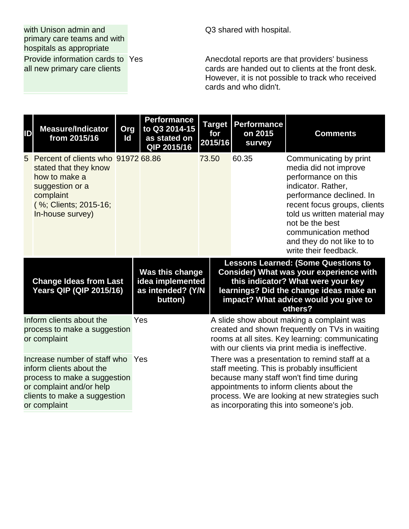with Unison admin and primary care teams and with hospitals as appropriate

Provide information cards to all new primary care clients

Q3 shared with hospital.

Anecdotal reports are that providers' business cards are handed out to clients at the front desk. However, it is not possible to track who received cards and who didn't.

| ID                                                                                                                                                                   | <b>Measure/Indicator</b><br>from 2015/16                                                                                                                  | Org<br>Id | <b>Performance</b><br>to Q3 2014-15<br>as stated on<br>QIP 2015/16  | <b>Target</b><br>for<br>2015/16 | Performance<br>on 2015<br>survey | <b>Comments</b>                                                                                                                                                                                                                                                                            |
|----------------------------------------------------------------------------------------------------------------------------------------------------------------------|-----------------------------------------------------------------------------------------------------------------------------------------------------------|-----------|---------------------------------------------------------------------|---------------------------------|----------------------------------|--------------------------------------------------------------------------------------------------------------------------------------------------------------------------------------------------------------------------------------------------------------------------------------------|
| 5                                                                                                                                                                    | Percent of clients who 91972 68.86<br>stated that they know<br>how to make a<br>suggestion or a<br>complaint<br>(%; Clients; 2015-16;<br>In-house survey) |           |                                                                     | 73.50                           | 60.35                            | Communicating by print<br>media did not improve<br>performance on this<br>indicator. Rather,<br>performance declined. In<br>recent focus groups, clients<br>told us written material may<br>not be the best<br>communication method<br>and they do not like to to<br>write their feedback. |
|                                                                                                                                                                      | <b>Change Ideas from Last</b><br><b>Years QIP (QIP 2015/16)</b>                                                                                           |           | Was this change<br>idea implemented<br>as intended? (Y/N<br>button) |                                 |                                  | <b>Lessons Learned: (Some Questions to</b><br><b>Consider) What was your experience with</b><br>this indicator? What were your key<br>learnings? Did the change ideas make an<br>impact? What advice would you give to<br>others?                                                          |
| Inform clients about the<br>process to make a suggestion<br>or complaint                                                                                             |                                                                                                                                                           |           | Yes                                                                 |                                 |                                  | A slide show about making a complaint was<br>created and shown frequently on TVs in waiting<br>rooms at all sites. Key learning: communicating<br>with our clients via print media is ineffective.                                                                                         |
| Increase number of staff who<br>inform clients about the<br>process to make a suggestion<br>or complaint and/or help<br>clients to make a suggestion<br>or complaint |                                                                                                                                                           |           | Yes                                                                 |                                 |                                  | There was a presentation to remind staff at a<br>staff meeting. This is probably insufficient<br>because many staff won't find time during<br>appointments to inform clients about the<br>process. We are looking at new strategies such<br>as incorporating this into someone's job.      |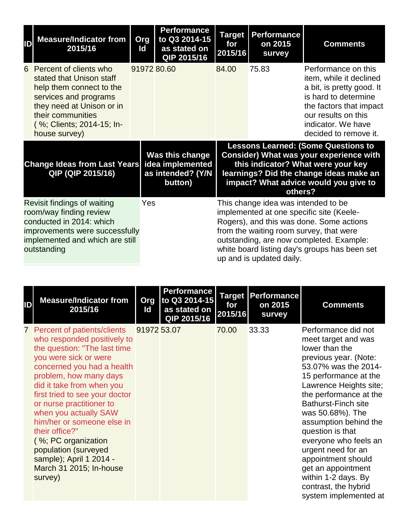| ID                                                                                                                                                                     | <b>Measure/Indicator from</b><br>2015/16                                                                                                                                                                  | Org<br>ld   | <b>Performance</b><br>to Q3 2014-15<br>as stated on<br>QIP 2015/16  | <b>Target</b><br>for<br>2015/16 | <b>Performance</b><br>on 2015<br>survey                         | <b>Comments</b>                                                                                                                                                                                                              |
|------------------------------------------------------------------------------------------------------------------------------------------------------------------------|-----------------------------------------------------------------------------------------------------------------------------------------------------------------------------------------------------------|-------------|---------------------------------------------------------------------|---------------------------------|-----------------------------------------------------------------|------------------------------------------------------------------------------------------------------------------------------------------------------------------------------------------------------------------------------|
|                                                                                                                                                                        | 6 Percent of clients who<br>stated that Unison staff<br>help them connect to the<br>services and programs<br>they need at Unison or in<br>their communities<br>(%; Clients; 2014-15; In-<br>house survey) | 91972 80.60 |                                                                     | 84.00                           | 75.83                                                           | Performance on this<br>item, while it declined<br>a bit, is pretty good. It<br>is hard to determine<br>the factors that impact<br>our results on this<br>indicator. We have<br>decided to remove it.                         |
| <b>Change Ideas from Last Years</b><br>QIP (QIP 2015/16)                                                                                                               |                                                                                                                                                                                                           |             | Was this change<br>idea implemented<br>as intended? (Y/N<br>button) |                                 | others?                                                         | <b>Lessons Learned: (Some Questions to</b><br><b>Consider) What was your experience with</b><br>this indicator? What were your key<br>learnings? Did the change ideas make an<br>impact? What advice would you give to       |
| Revisit findings of waiting<br>room/way finding review<br>conducted in 2014: which<br>improvements were successfully<br>implemented and which are still<br>outstanding |                                                                                                                                                                                                           |             | Yes                                                                 |                                 | This change idea was intended to be<br>up and is updated daily. | implemented at one specific site (Keele-<br>Rogers), and this was done. Some actions<br>from the waiting room survey, that were<br>outstanding, are now completed. Example:<br>white board listing day's groups has been set |

| ID | <b>Measure/Indicator from</b><br>2015/16                                                                                                                                                                                                                                                                                                                                                                                                                          | Org<br>ld   | <b>Performance</b><br>to Q3 2014-15<br>as stated on<br>QIP 2015/16 | <b>Target</b><br>for<br>2015/16 | Performance<br>on 2015<br>survey | <b>Comments</b>                                                                                                                                                                                                                                                                                                                                                                                                                                              |
|----|-------------------------------------------------------------------------------------------------------------------------------------------------------------------------------------------------------------------------------------------------------------------------------------------------------------------------------------------------------------------------------------------------------------------------------------------------------------------|-------------|--------------------------------------------------------------------|---------------------------------|----------------------------------|--------------------------------------------------------------------------------------------------------------------------------------------------------------------------------------------------------------------------------------------------------------------------------------------------------------------------------------------------------------------------------------------------------------------------------------------------------------|
|    | 7 Percent of patients/clients<br>who responded positively to<br>the question: "The last time<br>you were sick or were<br>concerned you had a health<br>problem, how many days<br>did it take from when you<br>first tried to see your doctor<br>or nurse practitioner to<br>when you actually SAW<br>him/her or someone else in<br>their office?"<br>(%; PC organization<br>population (surveyed<br>sample); April 1 2014 -<br>March 31 2015; In-house<br>survey) | 91972 53.07 |                                                                    | 70.00                           | 33.33                            | Performance did not<br>meet target and was<br>lower than the<br>previous year. (Note:<br>53.07% was the 2014-<br>15 performance at the<br>Lawrence Heights site;<br>the performance at the<br><b>Bathurst-Finch site</b><br>was 50.68%). The<br>assumption behind the<br>question is that<br>everyone who feels an<br>urgent need for an<br>appointment should<br>get an appointment<br>within 1-2 days. By<br>contrast, the hybrid<br>system implemented at |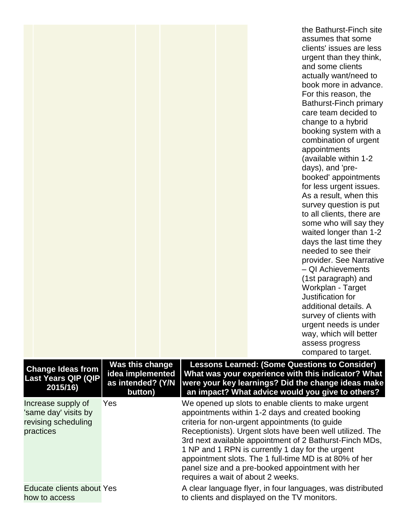|                                                                                |                                                                     |                                   | the Bathurst-Finch site<br>assumes that some<br>clients' issues are less<br>urgent than they think,<br>and some clients<br>actually want/need to<br>book more in advance.<br>For this reason, the<br>Bathurst-Finch primary<br>care team decided to<br>change to a hybrid<br>booking system with a<br>combination of urgent<br>appointments<br>(available within 1-2<br>days), and 'pre-<br>booked' appointments<br>for less urgent issues.<br>As a result, when this<br>survey question is put<br>to all clients, there are<br>some who will say they<br>waited longer than 1-2<br>days the last time they<br>needed to see their<br>provider. See Narrative<br>- QI Achievements<br>(1st paragraph) and<br>Workplan - Target<br>Justification for<br>additional details. A<br>survey of clients with<br>urgent needs is under<br>way, which will better<br>assess progress<br>compared to target. |
|--------------------------------------------------------------------------------|---------------------------------------------------------------------|-----------------------------------|-----------------------------------------------------------------------------------------------------------------------------------------------------------------------------------------------------------------------------------------------------------------------------------------------------------------------------------------------------------------------------------------------------------------------------------------------------------------------------------------------------------------------------------------------------------------------------------------------------------------------------------------------------------------------------------------------------------------------------------------------------------------------------------------------------------------------------------------------------------------------------------------------------|
| <b>Change Ideas from</b><br><b>Last Years QIP (QIP</b><br>2015/16)             | Was this change<br>idea implemented<br>as intended? (Y/N<br>button) |                                   | <b>Lessons Learned: (Some Questions to Consider)</b><br>What was your experience with this indicator? What<br>were your key learnings? Did the change ideas make<br>an impact? What advice would you give to others?                                                                                                                                                                                                                                                                                                                                                                                                                                                                                                                                                                                                                                                                                |
| Increase supply of<br>'same day' visits by<br>revising scheduling<br>practices | Yes                                                                 | requires a wait of about 2 weeks. | We opened up slots to enable clients to make urgent<br>appointments within 1-2 days and created booking<br>criteria for non-urgent appointments (to guide<br>Receptionists). Urgent slots have been well utilized. The<br>3rd next available appointment of 2 Bathurst-Finch MDs,<br>1 NP and 1 RPN is currently 1 day for the urgent<br>appointment slots. The 1 full-time MD is at 80% of her<br>panel size and a pre-booked appointment with her                                                                                                                                                                                                                                                                                                                                                                                                                                                 |
| Educate clients about Yes<br>how to access                                     |                                                                     |                                   | A clear language flyer, in four languages, was distributed<br>to clients and displayed on the TV monitors.                                                                                                                                                                                                                                                                                                                                                                                                                                                                                                                                                                                                                                                                                                                                                                                          |